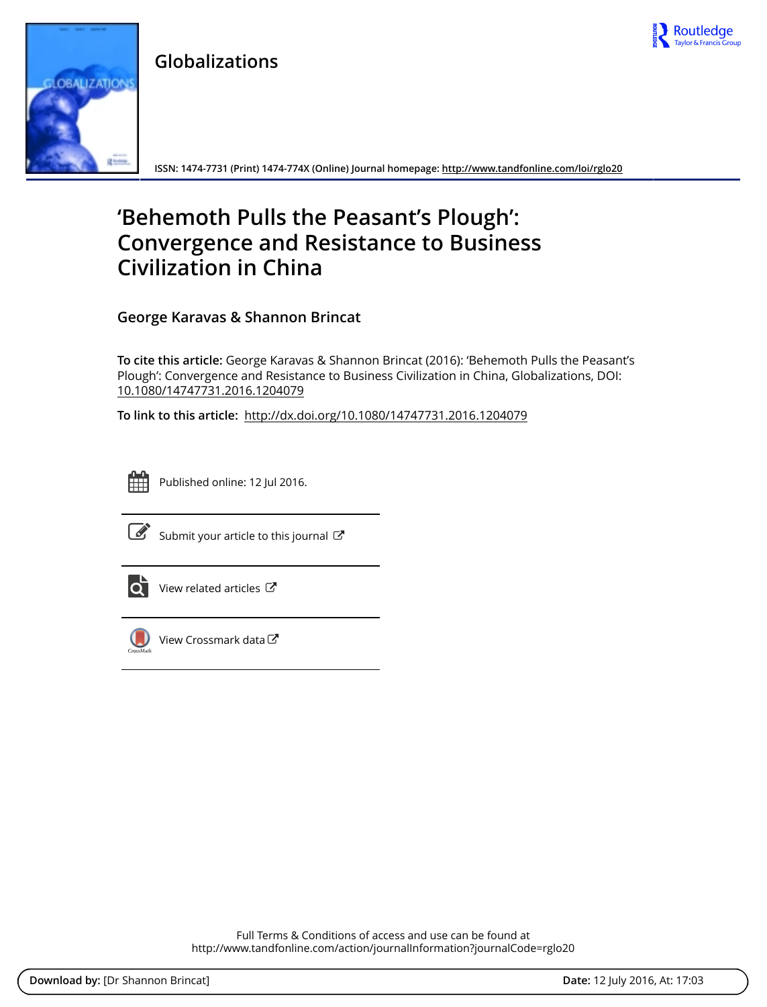

**Globalizations**



**ISSN: 1474-7731 (Print) 1474-774X (Online) Journal homepage: <http://www.tandfonline.com/loi/rglo20>**

# **'Behemoth Pulls the Peasant's Plough': Convergence and Resistance to Business Civilization in China**

**George Karavas & Shannon Brincat**

**To cite this article:** George Karavas & Shannon Brincat (2016): 'Behemoth Pulls the Peasant's Plough': Convergence and Resistance to Business Civilization in China, Globalizations, DOI: [10.1080/14747731.2016.1204079](http://www.tandfonline.com/action/showCitFormats?doi=10.1080/14747731.2016.1204079)

**To link to this article:** <http://dx.doi.org/10.1080/14747731.2016.1204079>



Published online: 12 Jul 2016.



 $\overline{\mathscr{L}}$  [Submit your article to this journal](http://www.tandfonline.com/action/authorSubmission?journalCode=rglo20&page=instructions)  $\mathbb{F}$ 



 $\overrightarrow{Q}$  [View related articles](http://www.tandfonline.com/doi/mlt/10.1080/14747731.2016.1204079)  $\overrightarrow{C}$ 



[View Crossmark data](http://crossmark.crossref.org/dialog/?doi=10.1080/14747731.2016.1204079&domain=pdf&date_stamp=2016-07-12)  $\sigma$ 

Full Terms & Conditions of access and use can be found at <http://www.tandfonline.com/action/journalInformation?journalCode=rglo20>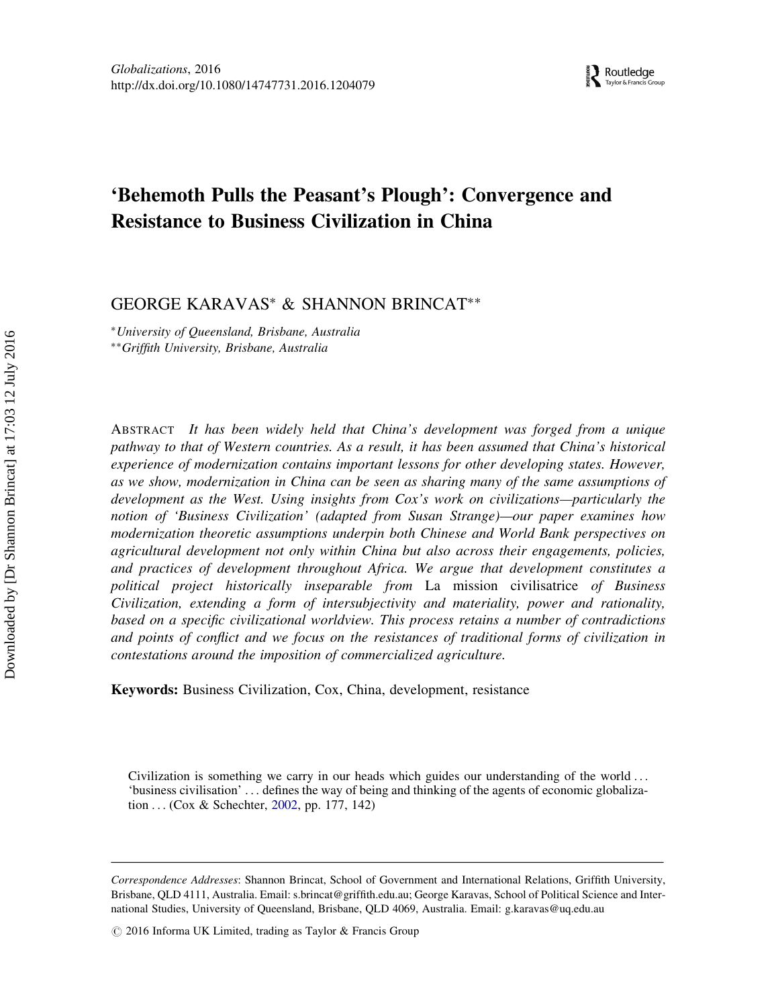# <span id="page-1-0"></span>'Behemoth Pulls the Peasant's Plough': Convergence and Resistance to Business Civilization in China

# GEORGE KARAVAS<sup>∗</sup> & SHANNON BRINCAT∗∗

∗University of Queensland, Brisbane, Australia

∗∗Griffith University, Brisbane, Australia

ABSTRACT It has been widely held that China's development was forged from a unique pathway to that of Western countries. As a result, it has been assumed that China's historical experience of modernization contains important lessons for other developing states. However, as we show, modernization in China can be seen as sharing many of the same assumptions of development as the West. Using insights from Cox's work on civilizations—particularly the notion of 'Business Civilization' (adapted from Susan Strange)—our paper examines how modernization theoretic assumptions underpin both Chinese and World Bank perspectives on agricultural development not only within China but also across their engagements, policies, and practices of development throughout Africa. We argue that development constitutes a political project historically inseparable from La mission civilisatrice of Business Civilization, extending a form of intersubjectivity and materiality, power and rationality, based on a specific civilizational worldview. This process retains a number of contradictions and points of conflict and we focus on the resistances of traditional forms of civilization in contestations around the imposition of commercialized agriculture.

Keywords: Business Civilization, Cox, China, development, resistance

Civilization is something we carry in our heads which guides our understanding of the world ... 'business civilisation' ... defines the way of being and thinking of the agents of economic globalization ... (Cox & Schechter, [2002](#page-15-0), pp. 177, 142)

Correspondence Addresses: Shannon Brincat, School of Government and International Relations, Griffith University, Brisbane, QLD 4111, Australia. Email: [s.brincat@griffith.edu.au](mailto:s.brincat@griffith.edu.au); George Karavas, School of Political Science and International Studies, University of Queensland, Brisbane, QLD 4069, Australia. Email: [g.karavas@uq.edu.au](mailto:g.karavas@uq.edu.au)

 $\odot$  2016 Informa UK Limited, trading as Taylor & Francis Group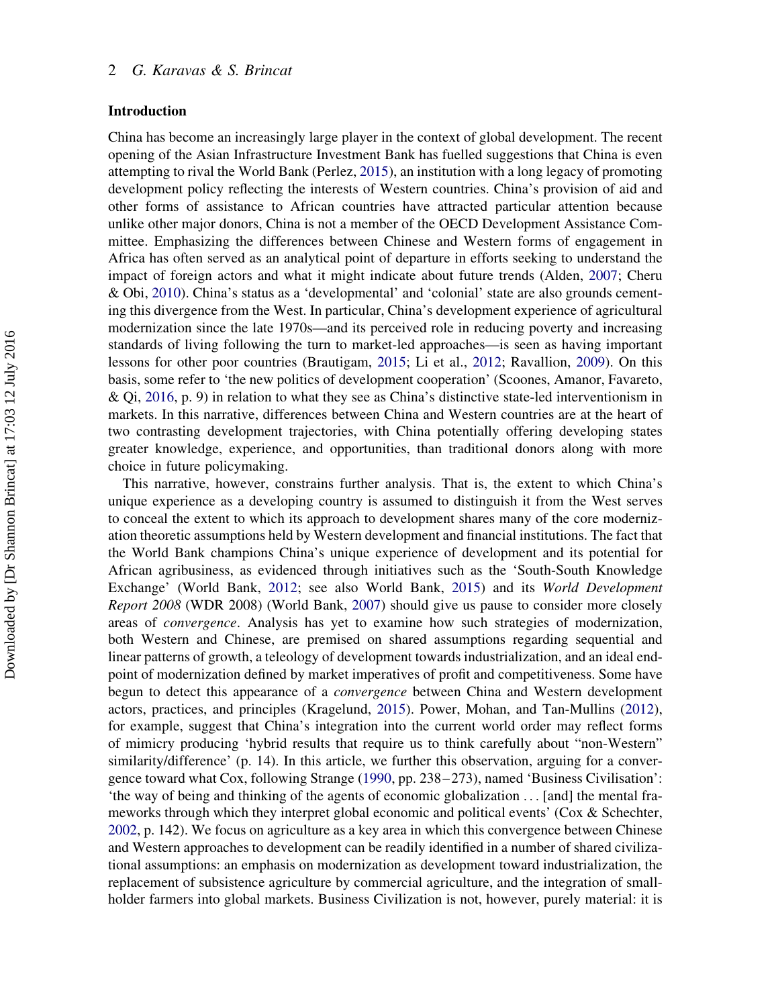#### <span id="page-2-0"></span>Introduction

China has become an increasingly large player in the context of global development. The recent opening of the Asian Infrastructure Investment Bank has fuelled suggestions that China is even attempting to rival the World Bank (Perlez, [2015](#page-16-0)), an institution with a long legacy of promoting development policy reflecting the interests of Western countries. China's provision of aid and other forms of assistance to African countries have attracted particular attention because unlike other major donors, China is not a member of the OECD Development Assistance Committee. Emphasizing the differences between Chinese and Western forms of engagement in Africa has often served as an analytical point of departure in efforts seeking to understand the impact of foreign actors and what it might indicate about future trends (Alden, [2007;](#page-14-0) Cheru & Obi, [2010](#page-15-0)). China's status as a 'developmental' and 'colonial' state are also grounds cementing this divergence from the West. In particular, China's development experience of agricultural modernization since the late 1970s—and its perceived role in reducing poverty and increasing standards of living following the turn to market-led approaches—is seen as having important lessons for other poor countries (Brautigam, [2015](#page-15-0); Li et al., [2012](#page-15-0); Ravallion, [2009](#page-16-0)). On this basis, some refer to 'the new politics of development cooperation' (Scoones, Amanor, Favareto, & Qi, [2016,](#page-16-0) p. 9) in relation to what they see as China's distinctive state-led interventionism in markets. In this narrative, differences between China and Western countries are at the heart of two contrasting development trajectories, with China potentially offering developing states greater knowledge, experience, and opportunities, than traditional donors along with more choice in future policymaking.

This narrative, however, constrains further analysis. That is, the extent to which China's unique experience as a developing country is assumed to distinguish it from the West serves to conceal the extent to which its approach to development shares many of the core modernization theoretic assumptions held by Western development and financial institutions. The fact that the World Bank champions China's unique experience of development and its potential for African agribusiness, as evidenced through initiatives such as the 'South-South Knowledge Exchange' (World Bank, [2012;](#page-16-0) see also World Bank, [2015\)](#page-16-0) and its World Development Report 2008 (WDR 2008) (World Bank, [2007\)](#page-16-0) should give us pause to consider more closely areas of convergence. Analysis has yet to examine how such strategies of modernization, both Western and Chinese, are premised on shared assumptions regarding sequential and linear patterns of growth, a teleology of development towards industrialization, and an ideal endpoint of modernization defined by market imperatives of profit and competitiveness. Some have begun to detect this appearance of a *convergence* between China and Western development actors, practices, and principles (Kragelund, [2015](#page-15-0)). Power, Mohan, and Tan-Mullins ([2012](#page-16-0)), for example, suggest that China's integration into the current world order may reflect forms of mimicry producing 'hybrid results that require us to think carefully about "non-Western" similarity/difference' (p. 14). In this article, we further this observation, arguing for a convergence toward what Cox, following Strange [\(1990](#page-16-0), pp. 238–273), named 'Business Civilisation': 'the way of being and thinking of the agents of economic globalization ... [and] the mental frameworks through which they interpret global economic and political events' (Cox & Schechter, [2002,](#page-15-0) p. 142). We focus on agriculture as a key area in which this convergence between Chinese and Western approaches to development can be readily identified in a number of shared civilizational assumptions: an emphasis on modernization as development toward industrialization, the replacement of subsistence agriculture by commercial agriculture, and the integration of smallholder farmers into global markets. Business Civilization is not, however, purely material: it is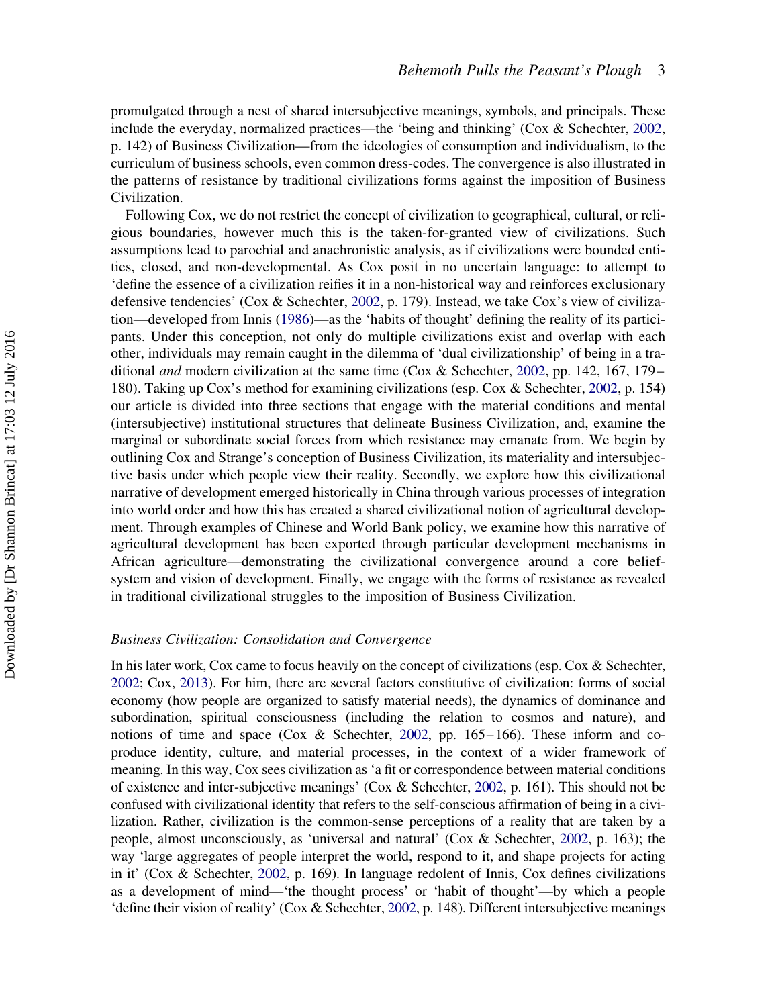<span id="page-3-0"></span>promulgated through a nest of shared intersubjective meanings, symbols, and principals. These include the everyday, normalized practices—the 'being and thinking' (Cox & Schechter, [2002](#page-15-0), p. 142) of Business Civilization—from the ideologies of consumption and individualism, to the curriculum of business schools, even common dress-codes. The convergence is also illustrated in the patterns of resistance by traditional civilizations forms against the imposition of Business Civilization.

Following Cox, we do not restrict the concept of civilization to geographical, cultural, or religious boundaries, however much this is the taken-for-granted view of civilizations. Such assumptions lead to parochial and anachronistic analysis, as if civilizations were bounded entities, closed, and non-developmental. As Cox posit in no uncertain language: to attempt to 'define the essence of a civilization reifies it in a non-historical way and reinforces exclusionary defensive tendencies' (Cox & Schechter, [2002](#page-15-0), p. 179). Instead, we take Cox's view of civilization—developed from Innis [\(1986](#page-15-0))—as the 'habits of thought' defining the reality of its participants. Under this conception, not only do multiple civilizations exist and overlap with each other, individuals may remain caught in the dilemma of 'dual civilizationship' of being in a traditional *and* modern civilization at the same time (Cox & Schechter, [2002,](#page-15-0) pp. 142, 167, 179– 180). Taking up Cox's method for examining civilizations (esp. Cox & Schechter, [2002,](#page-15-0) p. 154) our article is divided into three sections that engage with the material conditions and mental (intersubjective) institutional structures that delineate Business Civilization, and, examine the marginal or subordinate social forces from which resistance may emanate from. We begin by outlining Cox and Strange's conception of Business Civilization, its materiality and intersubjective basis under which people view their reality. Secondly, we explore how this civilizational narrative of development emerged historically in China through various processes of integration into world order and how this has created a shared civilizational notion of agricultural development. Through examples of Chinese and World Bank policy, we examine how this narrative of agricultural development has been exported through particular development mechanisms in African agriculture—demonstrating the civilizational convergence around a core beliefsystem and vision of development. Finally, we engage with the forms of resistance as revealed in traditional civilizational struggles to the imposition of Business Civilization.

#### Business Civilization: Consolidation and Convergence

In his later work, Cox came to focus heavily on the concept of civilizations (esp. Cox & Schechter, [2002;](#page-15-0) Cox, [2013](#page-15-0)). For him, there are several factors constitutive of civilization: forms of social economy (how people are organized to satisfy material needs), the dynamics of dominance and subordination, spiritual consciousness (including the relation to cosmos and nature), and notions of time and space (Cox & Schechter, [2002,](#page-15-0) pp. 165–166). These inform and coproduce identity, culture, and material processes, in the context of a wider framework of meaning. In this way, Cox sees civilization as 'a fit or correspondence between material conditions of existence and inter-subjective meanings' (Cox & Schechter, [2002](#page-15-0), p. 161). This should not be confused with civilizational identity that refers to the self-conscious affirmation of being in a civilization. Rather, civilization is the common-sense perceptions of a reality that are taken by a people, almost unconsciously, as 'universal and natural' (Cox & Schechter, [2002](#page-15-0), p. 163); the way 'large aggregates of people interpret the world, respond to it, and shape projects for acting in it' (Cox & Schechter, [2002](#page-15-0), p. 169). In language redolent of Innis, Cox defines civilizations as a development of mind—'the thought process' or 'habit of thought'—by which a people 'define their vision of reality' (Cox & Schechter, [2002](#page-15-0), p. 148). Different intersubjective meanings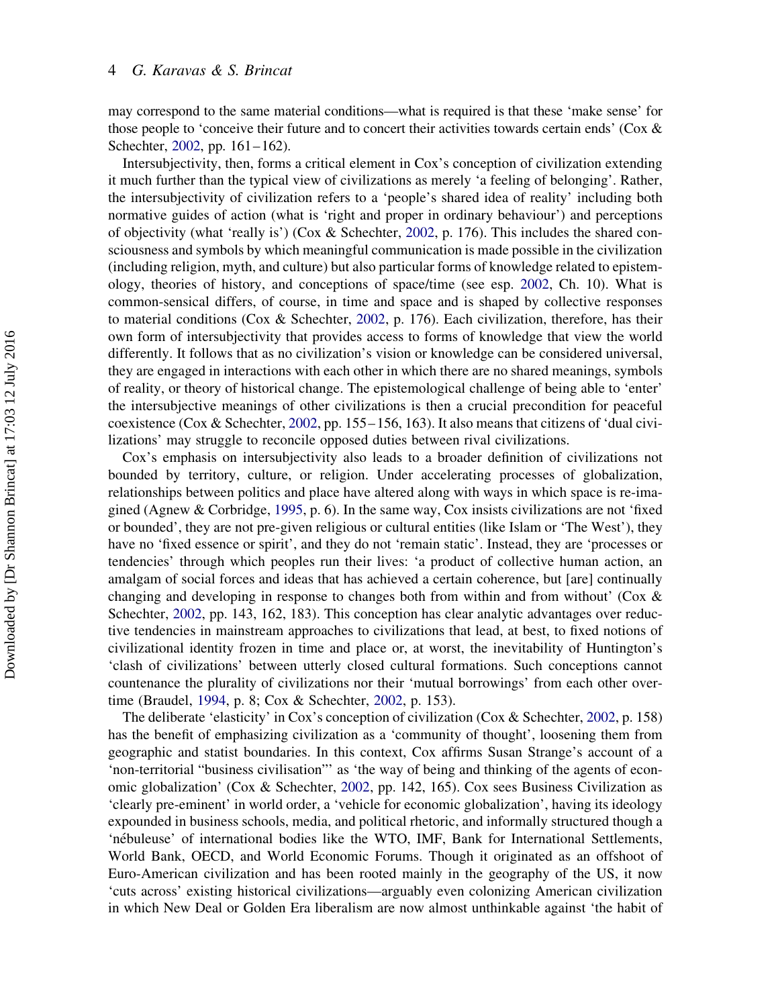<span id="page-4-0"></span>may correspond to the same material conditions—what is required is that these 'make sense' for those people to 'conceive their future and to concert their activities towards certain ends' (Cox & Schechter, [2002,](#page-15-0) pp. 161–162).

Intersubjectivity, then, forms a critical element in Cox's conception of civilization extending it much further than the typical view of civilizations as merely 'a feeling of belonging'. Rather, the intersubjectivity of civilization refers to a 'people's shared idea of reality' including both normative guides of action (what is 'right and proper in ordinary behaviour') and perceptions of objectivity (what 'really is') (Cox & Schechter, [2002,](#page-15-0) p. 176). This includes the shared consciousness and symbols by which meaningful communication is made possible in the civilization (including religion, myth, and culture) but also particular forms of knowledge related to epistemology, theories of history, and conceptions of space/time (see esp. [2002](#page-15-0), Ch. 10). What is common-sensical differs, of course, in time and space and is shaped by collective responses to material conditions (Cox & Schechter, [2002,](#page-15-0) p. 176). Each civilization, therefore, has their own form of intersubjectivity that provides access to forms of knowledge that view the world differently. It follows that as no civilization's vision or knowledge can be considered universal, they are engaged in interactions with each other in which there are no shared meanings, symbols of reality, or theory of historical change. The epistemological challenge of being able to 'enter' the intersubjective meanings of other civilizations is then a crucial precondition for peaceful coexistence (Cox & Schechter, [2002,](#page-15-0) pp. 155–156, 163). It also means that citizens of 'dual civilizations' may struggle to reconcile opposed duties between rival civilizations.

Cox's emphasis on intersubjectivity also leads to a broader definition of civilizations not bounded by territory, culture, or religion. Under accelerating processes of globalization, relationships between politics and place have altered along with ways in which space is re-ima-gined (Agnew & Corbridge, [1995,](#page-14-0) p. 6). In the same way, Cox insists civilizations are not 'fixed or bounded', they are not pre-given religious or cultural entities (like Islam or 'The West'), they have no 'fixed essence or spirit', and they do not 'remain static'. Instead, they are 'processes or tendencies' through which peoples run their lives: 'a product of collective human action, an amalgam of social forces and ideas that has achieved a certain coherence, but [are] continually changing and developing in response to changes both from within and from without' (Cox & Schechter, [2002,](#page-15-0) pp. 143, 162, 183). This conception has clear analytic advantages over reductive tendencies in mainstream approaches to civilizations that lead, at best, to fixed notions of civilizational identity frozen in time and place or, at worst, the inevitability of Huntington's 'clash of civilizations' between utterly closed cultural formations. Such conceptions cannot countenance the plurality of civilizations nor their 'mutual borrowings' from each other overtime (Braudel, [1994](#page-15-0), p. 8; Cox & Schechter, [2002,](#page-15-0) p. 153).

The deliberate 'elasticity' in Cox's conception of civilization (Cox & Schechter, [2002](#page-15-0), p. 158) has the benefit of emphasizing civilization as a 'community of thought', loosening them from geographic and statist boundaries. In this context, Cox affirms Susan Strange's account of a 'non-territorial "business civilisation"' as 'the way of being and thinking of the agents of economic globalization' (Cox & Schechter, [2002](#page-15-0), pp. 142, 165). Cox sees Business Civilization as 'clearly pre-eminent' in world order, a 'vehicle for economic globalization', having its ideology expounded in business schools, media, and political rhetoric, and informally structured though a 'nébuleuse' of international bodies like the WTO, IMF, Bank for International Settlements, World Bank, OECD, and World Economic Forums. Though it originated as an offshoot of Euro-American civilization and has been rooted mainly in the geography of the US, it now 'cuts across' existing historical civilizations—arguably even colonizing American civilization in which New Deal or Golden Era liberalism are now almost unthinkable against 'the habit of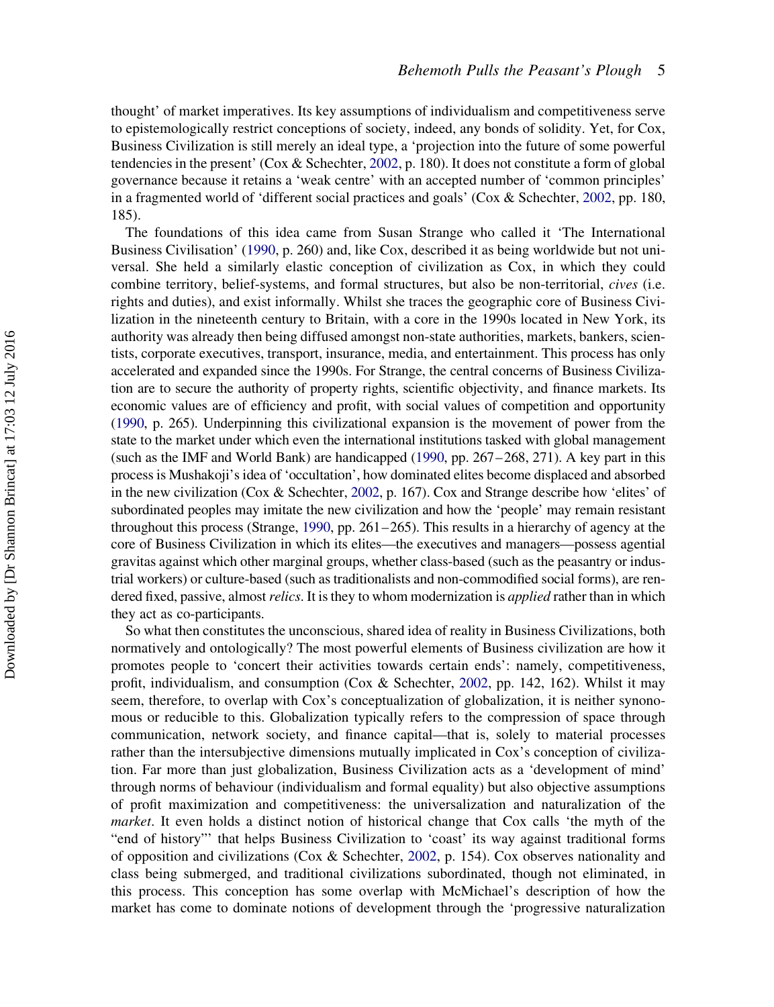thought' of market imperatives. Its key assumptions of individualism and competitiveness serve to epistemologically restrict conceptions of society, indeed, any bonds of solidity. Yet, for Cox, Business Civilization is still merely an ideal type, a 'projection into the future of some powerful tendencies in the present' (Cox & Schechter, [2002,](#page-15-0) p. 180). It does not constitute a form of global governance because it retains a 'weak centre' with an accepted number of 'common principles' in a fragmented world of 'different social practices and goals' (Cox & Schechter, [2002,](#page-15-0) pp. 180, 185).

The foundations of this idea came from Susan Strange who called it 'The International Business Civilisation' ([1990,](#page-16-0) p. 260) and, like Cox, described it as being worldwide but not universal. She held a similarly elastic conception of civilization as Cox, in which they could combine territory, belief-systems, and formal structures, but also be non-territorial, cives (i.e. rights and duties), and exist informally. Whilst she traces the geographic core of Business Civilization in the nineteenth century to Britain, with a core in the 1990s located in New York, its authority was already then being diffused amongst non-state authorities, markets, bankers, scientists, corporate executives, transport, insurance, media, and entertainment. This process has only accelerated and expanded since the 1990s. For Strange, the central concerns of Business Civilization are to secure the authority of property rights, scientific objectivity, and finance markets. Its economic values are of efficiency and profit, with social values of competition and opportunity [\(1990,](#page-16-0) p. 265). Underpinning this civilizational expansion is the movement of power from the state to the market under which even the international institutions tasked with global management (such as the IMF and World Bank) are handicapped ([1990,](#page-16-0) pp. 267–268, 271). A key part in this process is Mushakoji's idea of 'occultation', how dominated elites become displaced and absorbed in the new civilization (Cox & Schechter, [2002,](#page-15-0) p. 167). Cox and Strange describe how 'elites' of subordinated peoples may imitate the new civilization and how the 'people' may remain resistant throughout this process (Strange, [1990,](#page-16-0) pp. 261–265). This results in a hierarchy of agency at the core of Business Civilization in which its elites—the executives and managers—possess agential gravitas against which other marginal groups, whether class-based (such as the peasantry or industrial workers) or culture-based (such as traditionalists and non-commodified social forms), are rendered fixed, passive, almost relics. It is they to whom modernization is *applied* rather than in which they act as co-participants.

So what then constitutes the unconscious, shared idea of reality in Business Civilizations, both normatively and ontologically? The most powerful elements of Business civilization are how it promotes people to 'concert their activities towards certain ends': namely, competitiveness, profit, individualism, and consumption (Cox & Schechter, [2002](#page-15-0), pp. 142, 162). Whilst it may seem, therefore, to overlap with Cox's conceptualization of globalization, it is neither synonomous or reducible to this. Globalization typically refers to the compression of space through communication, network society, and finance capital—that is, solely to material processes rather than the intersubjective dimensions mutually implicated in Cox's conception of civilization. Far more than just globalization, Business Civilization acts as a 'development of mind' through norms of behaviour (individualism and formal equality) but also objective assumptions of profit maximization and competitiveness: the universalization and naturalization of the market. It even holds a distinct notion of historical change that Cox calls 'the myth of the "end of history"' that helps Business Civilization to 'coast' its way against traditional forms of opposition and civilizations (Cox & Schechter, [2002,](#page-15-0) p. 154). Cox observes nationality and class being submerged, and traditional civilizations subordinated, though not eliminated, in this process. This conception has some overlap with McMichael's description of how the market has come to dominate notions of development through the 'progressive naturalization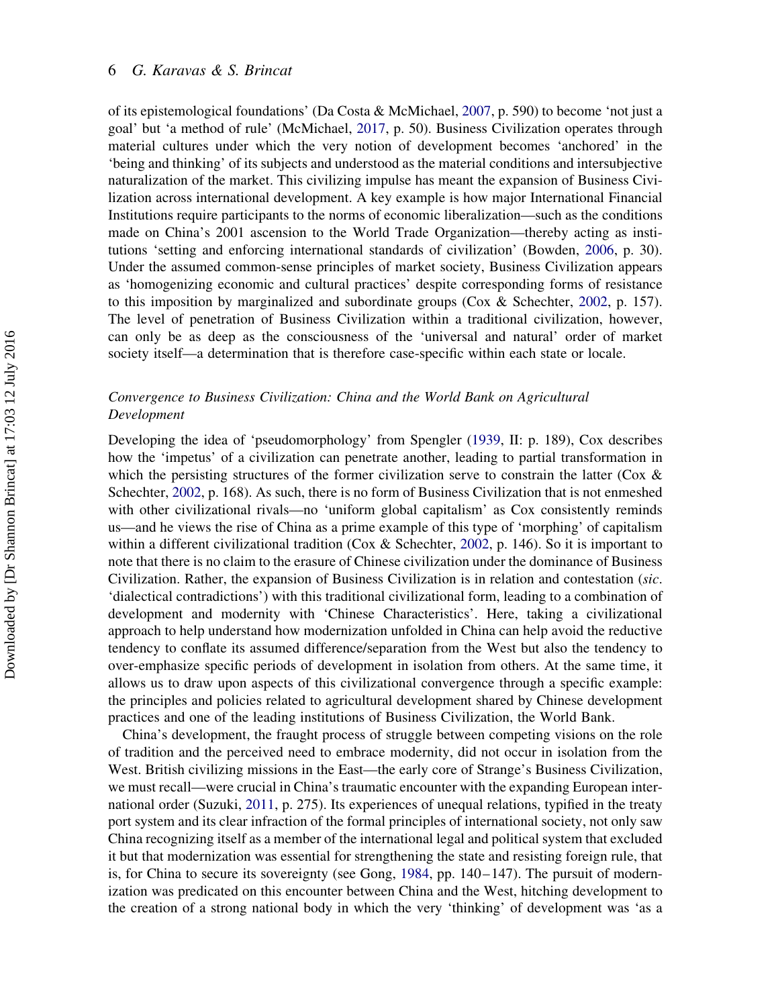<span id="page-6-0"></span>of its epistemological foundations' (Da Costa & McMichael, [2007](#page-15-0), p. 590) to become 'not just a goal' but 'a method of rule' (McMichael, [2017](#page-15-0), p. 50). Business Civilization operates through material cultures under which the very notion of development becomes 'anchored' in the 'being and thinking' of its subjects and understood as the material conditions and intersubjective naturalization of the market. This civilizing impulse has meant the expansion of Business Civilization across international development. A key example is how major International Financial Institutions require participants to the norms of economic liberalization—such as the conditions made on China's 2001 ascension to the World Trade Organization—thereby acting as institutions 'setting and enforcing international standards of civilization' (Bowden, [2006](#page-15-0), p. 30). Under the assumed common-sense principles of market society, Business Civilization appears as 'homogenizing economic and cultural practices' despite corresponding forms of resistance to this imposition by marginalized and subordinate groups (Cox & Schechter, [2002,](#page-15-0) p. 157). The level of penetration of Business Civilization within a traditional civilization, however, can only be as deep as the consciousness of the 'universal and natural' order of market society itself—a determination that is therefore case-specific within each state or locale.

# Convergence to Business Civilization: China and the World Bank on Agricultural Development

Developing the idea of 'pseudomorphology' from Spengler ([1939,](#page-16-0) II: p. 189), Cox describes how the 'impetus' of a civilization can penetrate another, leading to partial transformation in which the persisting structures of the former civilization serve to constrain the latter (Cox & Schechter, [2002](#page-15-0), p. 168). As such, there is no form of Business Civilization that is not enmeshed with other civilizational rivals—no 'uniform global capitalism' as Cox consistently reminds us—and he views the rise of China as a prime example of this type of 'morphing' of capitalism within a different civilizational tradition (Cox & Schechter, [2002,](#page-15-0) p. 146). So it is important to note that there is no claim to the erasure of Chinese civilization under the dominance of Business Civilization. Rather, the expansion of Business Civilization is in relation and contestation (sic. 'dialectical contradictions') with this traditional civilizational form, leading to a combination of development and modernity with 'Chinese Characteristics'. Here, taking a civilizational approach to help understand how modernization unfolded in China can help avoid the reductive tendency to conflate its assumed difference/separation from the West but also the tendency to over-emphasize specific periods of development in isolation from others. At the same time, it allows us to draw upon aspects of this civilizational convergence through a specific example: the principles and policies related to agricultural development shared by Chinese development practices and one of the leading institutions of Business Civilization, the World Bank.

China's development, the fraught process of struggle between competing visions on the role of tradition and the perceived need to embrace modernity, did not occur in isolation from the West. British civilizing missions in the East—the early core of Strange's Business Civilization, we must recall—were crucial in China's traumatic encounter with the expanding European international order (Suzuki, [2011](#page-16-0), p. 275). Its experiences of unequal relations, typified in the treaty port system and its clear infraction of the formal principles of international society, not only saw China recognizing itself as a member of the international legal and political system that excluded it but that modernization was essential for strengthening the state and resisting foreign rule, that is, for China to secure its sovereignty (see Gong, [1984](#page-15-0), pp. 140–147). The pursuit of modernization was predicated on this encounter between China and the West, hitching development to the creation of a strong national body in which the very 'thinking' of development was 'as a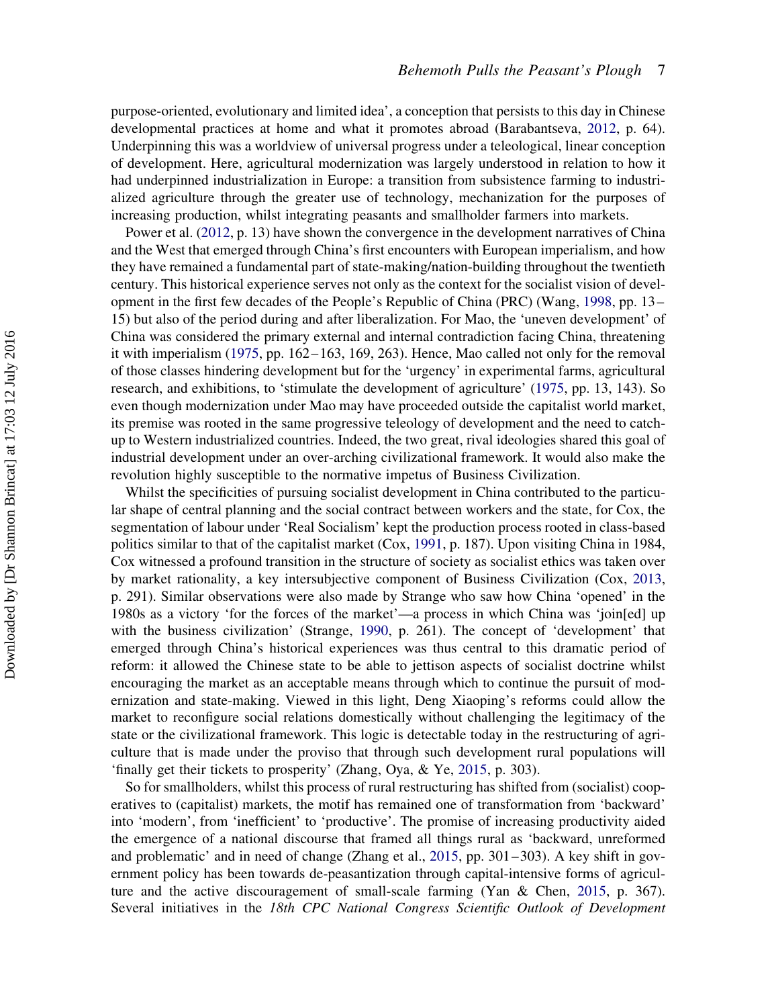<span id="page-7-0"></span>purpose-oriented, evolutionary and limited idea', a conception that persists to this day in Chinese developmental practices at home and what it promotes abroad (Barabantseva, [2012,](#page-14-0) p. 64). Underpinning this was a worldview of universal progress under a teleological, linear conception of development. Here, agricultural modernization was largely understood in relation to how it had underpinned industrialization in Europe: a transition from subsistence farming to industrialized agriculture through the greater use of technology, mechanization for the purposes of increasing production, whilst integrating peasants and smallholder farmers into markets.

Power et al. [\(2012](#page-16-0), p. 13) have shown the convergence in the development narratives of China and the West that emerged through China's first encounters with European imperialism, and how they have remained a fundamental part of state-making/nation-building throughout the twentieth century. This historical experience serves not only as the context for the socialist vision of development in the first few decades of the People's Republic of China (PRC) (Wang, [1998,](#page-16-0) pp. 13– 15) but also of the period during and after liberalization. For Mao, the 'uneven development' of China was considered the primary external and internal contradiction facing China, threatening it with imperialism [\(1975](#page-16-0), pp. 162–163, 169, 263). Hence, Mao called not only for the removal of those classes hindering development but for the 'urgency' in experimental farms, agricultural research, and exhibitions, to 'stimulate the development of agriculture' ([1975,](#page-16-0) pp. 13, 143). So even though modernization under Mao may have proceeded outside the capitalist world market, its premise was rooted in the same progressive teleology of development and the need to catchup to Western industrialized countries. Indeed, the two great, rival ideologies shared this goal of industrial development under an over-arching civilizational framework. It would also make the revolution highly susceptible to the normative impetus of Business Civilization.

Whilst the specificities of pursuing socialist development in China contributed to the particular shape of central planning and the social contract between workers and the state, for Cox, the segmentation of labour under 'Real Socialism' kept the production process rooted in class-based politics similar to that of the capitalist market (Cox, [1991,](#page-15-0) p. 187). Upon visiting China in 1984, Cox witnessed a profound transition in the structure of society as socialist ethics was taken over by market rationality, a key intersubjective component of Business Civilization (Cox, [2013](#page-15-0), p. 291). Similar observations were also made by Strange who saw how China 'opened' in the 1980s as a victory 'for the forces of the market'—a process in which China was 'join[ed] up with the business civilization' (Strange, [1990,](#page-16-0) p. 261). The concept of 'development' that emerged through China's historical experiences was thus central to this dramatic period of reform: it allowed the Chinese state to be able to jettison aspects of socialist doctrine whilst encouraging the market as an acceptable means through which to continue the pursuit of modernization and state-making. Viewed in this light, Deng Xiaoping's reforms could allow the market to reconfigure social relations domestically without challenging the legitimacy of the state or the civilizational framework. This logic is detectable today in the restructuring of agriculture that is made under the proviso that through such development rural populations will 'finally get their tickets to prosperity' (Zhang, Oya, & Ye, [2015](#page-16-0), p. 303).

So for smallholders, whilst this process of rural restructuring has shifted from (socialist) cooperatives to (capitalist) markets, the motif has remained one of transformation from 'backward' into 'modern', from 'inefficient' to 'productive'. The promise of increasing productivity aided the emergence of a national discourse that framed all things rural as 'backward, unreformed and problematic' and in need of change (Zhang et al., [2015,](#page-16-0) pp. 301–303). A key shift in government policy has been towards de-peasantization through capital-intensive forms of agriculture and the active discouragement of small-scale farming (Yan & Chen, [2015,](#page-16-0) p. 367). Several initiatives in the 18th CPC National Congress Scientific Outlook of Development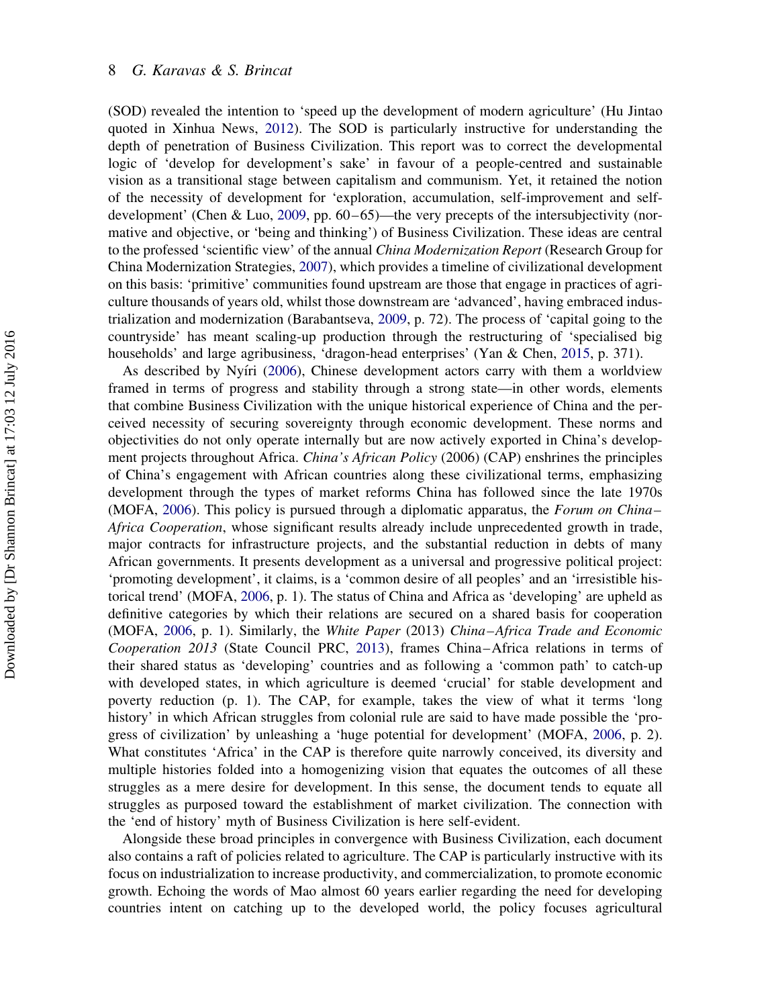<span id="page-8-0"></span>(SOD) revealed the intention to 'speed up the development of modern agriculture' (Hu Jintao quoted in Xinhua News, [2012\)](#page-16-0). The SOD is particularly instructive for understanding the depth of penetration of Business Civilization. This report was to correct the developmental logic of 'develop for development's sake' in favour of a people-centred and sustainable vision as a transitional stage between capitalism and communism. Yet, it retained the notion of the necessity of development for 'exploration, accumulation, self-improvement and selfdevelopment' (Chen & Luo, [2009](#page-15-0), pp. 60–65)—the very precepts of the intersubjectivity (normative and objective, or 'being and thinking') of Business Civilization. These ideas are central to the professed 'scientific view' of the annual China Modernization Report (Research Group for China Modernization Strategies, [2007](#page-16-0)), which provides a timeline of civilizational development on this basis: 'primitive' communities found upstream are those that engage in practices of agriculture thousands of years old, whilst those downstream are 'advanced', having embraced industrialization and modernization (Barabantseva, [2009,](#page-14-0) p. 72). The process of 'capital going to the countryside' has meant scaling-up production through the restructuring of 'specialised big households' and large agribusiness, 'dragon-head enterprises' (Yan & Chen, [2015,](#page-16-0) p. 371).

As described by Nyíri ([2006\)](#page-16-0), Chinese development actors carry with them a worldview framed in terms of progress and stability through a strong state—in other words, elements that combine Business Civilization with the unique historical experience of China and the perceived necessity of securing sovereignty through economic development. These norms and objectivities do not only operate internally but are now actively exported in China's development projects throughout Africa. China's African Policy (2006) (CAP) enshrines the principles of China's engagement with African countries along these civilizational terms, emphasizing development through the types of market reforms China has followed since the late 1970s (MOFA, [2006\)](#page-15-0). This policy is pursued through a diplomatic apparatus, the Forum on China-Africa Cooperation, whose significant results already include unprecedented growth in trade, major contracts for infrastructure projects, and the substantial reduction in debts of many African governments. It presents development as a universal and progressive political project: 'promoting development', it claims, is a 'common desire of all peoples' and an 'irresistible historical trend' (MOFA, [2006,](#page-15-0) p. 1). The status of China and Africa as 'developing' are upheld as definitive categories by which their relations are secured on a shared basis for cooperation (MOFA, [2006](#page-15-0), p. 1). Similarly, the White Paper (2013) China –Africa Trade and Economic Cooperation 2013 (State Council PRC, [2013\)](#page-16-0), frames China–Africa relations in terms of their shared status as 'developing' countries and as following a 'common path' to catch-up with developed states, in which agriculture is deemed 'crucial' for stable development and poverty reduction (p. 1). The CAP, for example, takes the view of what it terms 'long history' in which African struggles from colonial rule are said to have made possible the 'progress of civilization' by unleashing a 'huge potential for development' (MOFA, [2006,](#page-15-0) p. 2). What constitutes 'Africa' in the CAP is therefore quite narrowly conceived, its diversity and multiple histories folded into a homogenizing vision that equates the outcomes of all these struggles as a mere desire for development. In this sense, the document tends to equate all struggles as purposed toward the establishment of market civilization. The connection with the 'end of history' myth of Business Civilization is here self-evident.

Alongside these broad principles in convergence with Business Civilization, each document also contains a raft of policies related to agriculture. The CAP is particularly instructive with its focus on industrialization to increase productivity, and commercialization, to promote economic growth. Echoing the words of Mao almost 60 years earlier regarding the need for developing countries intent on catching up to the developed world, the policy focuses agricultural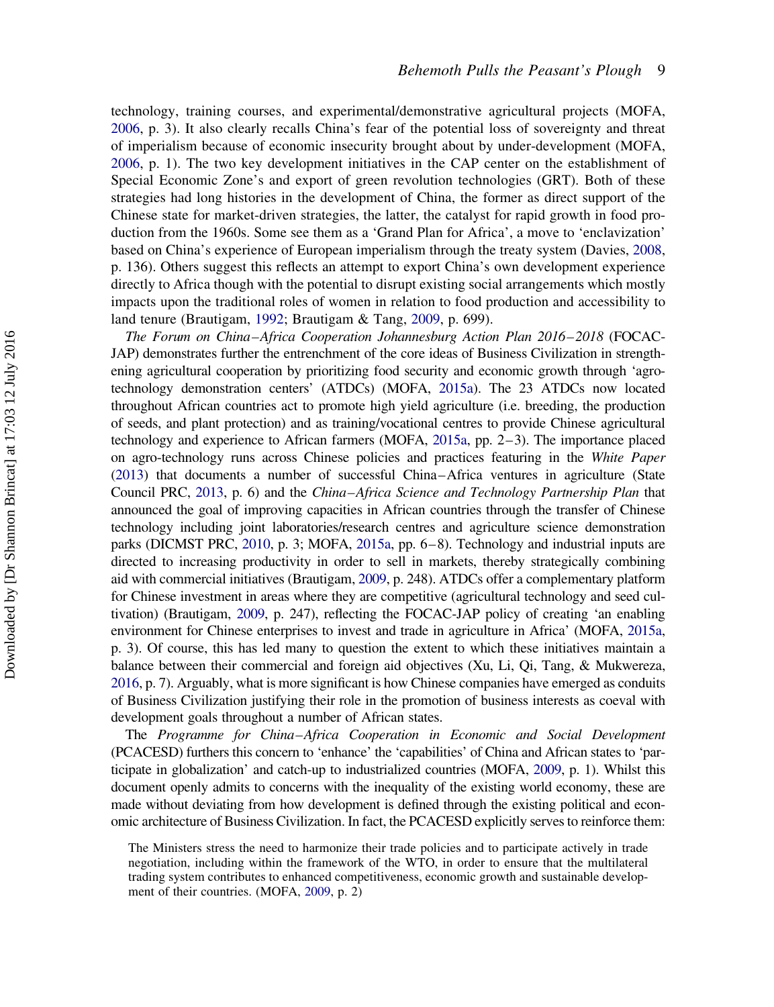<span id="page-9-0"></span>technology, training courses, and experimental/demonstrative agricultural projects (MOFA, [2006,](#page-15-0) p. 3). It also clearly recalls China's fear of the potential loss of sovereignty and threat of imperialism because of economic insecurity brought about by under-development (MOFA, [2006,](#page-15-0) p. 1). The two key development initiatives in the CAP center on the establishment of Special Economic Zone's and export of green revolution technologies (GRT). Both of these strategies had long histories in the development of China, the former as direct support of the Chinese state for market-driven strategies, the latter, the catalyst for rapid growth in food production from the 1960s. Some see them as a 'Grand Plan for Africa', a move to 'enclavization' based on China's experience of European imperialism through the treaty system (Davies, [2008](#page-15-0), p. 136). Others suggest this reflects an attempt to export China's own development experience directly to Africa though with the potential to disrupt existing social arrangements which mostly impacts upon the traditional roles of women in relation to food production and accessibility to land tenure (Brautigam, [1992;](#page-15-0) Brautigam & Tang, [2009,](#page-15-0) p. 699).

The Forum on China–Africa Cooperation Johannesburg Action Plan 2016–2018 (FOCAC-JAP) demonstrates further the entrenchment of the core ideas of Business Civilization in strengthening agricultural cooperation by prioritizing food security and economic growth through 'agrotechnology demonstration centers' (ATDCs) (MOFA, [2015a\)](#page-15-0). The 23 ATDCs now located throughout African countries act to promote high yield agriculture (i.e. breeding, the production of seeds, and plant protection) and as training/vocational centres to provide Chinese agricultural technology and experience to African farmers (MOFA, [2015a](#page-15-0), pp. 2–3). The importance placed on agro-technology runs across Chinese policies and practices featuring in the White Paper [\(2013](#page-16-0)) that documents a number of successful China–Africa ventures in agriculture (State Council PRC, [2013,](#page-16-0) p. 6) and the China–Africa Science and Technology Partnership Plan that announced the goal of improving capacities in African countries through the transfer of Chinese technology including joint laboratories/research centres and agriculture science demonstration parks (DICMST PRC, [2010](#page-15-0), p. 3; MOFA, [2015a,](#page-15-0) pp. 6–8). Technology and industrial inputs are directed to increasing productivity in order to sell in markets, thereby strategically combining aid with commercial initiatives (Brautigam, [2009,](#page-15-0) p. 248). ATDCs offer a complementary platform for Chinese investment in areas where they are competitive (agricultural technology and seed cultivation) (Brautigam, [2009](#page-15-0), p. 247), reflecting the FOCAC-JAP policy of creating 'an enabling environment for Chinese enterprises to invest and trade in agriculture in Africa' (MOFA, [2015a](#page-15-0), p. 3). Of course, this has led many to question the extent to which these initiatives maintain a balance between their commercial and foreign aid objectives (Xu, Li, Qi, Tang, & Mukwereza, [2016](#page-16-0), p. 7). Arguably, what is more significant is how Chinese companies have emerged as conduits of Business Civilization justifying their role in the promotion of business interests as coeval with development goals throughout a number of African states.

The Programme for China–Africa Cooperation in Economic and Social Development (PCACESD) furthers this concern to 'enhance' the 'capabilities' of China and African states to 'participate in globalization' and catch-up to industrialized countries (MOFA, [2009,](#page-15-0) p. 1). Whilst this document openly admits to concerns with the inequality of the existing world economy, these are made without deviating from how development is defined through the existing political and economic architecture of Business Civilization. In fact, the PCACESD explicitly serves to reinforce them:

The Ministers stress the need to harmonize their trade policies and to participate actively in trade negotiation, including within the framework of the WTO, in order to ensure that the multilateral trading system contributes to enhanced competitiveness, economic growth and sustainable development of their countries. (MOFA, [2009,](#page-15-0) p. 2)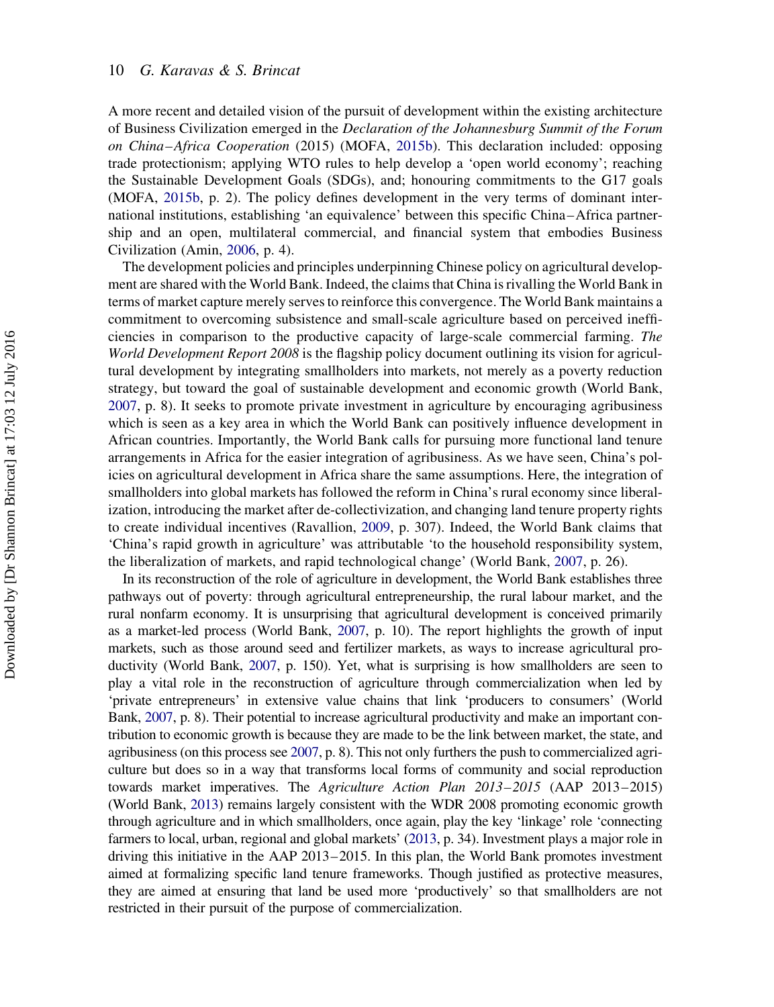<span id="page-10-0"></span>A more recent and detailed vision of the pursuit of development within the existing architecture of Business Civilization emerged in the Declaration of the Johannesburg Summit of the Forum on China –Africa Cooperation (2015) (MOFA, [2015b\)](#page-15-0). This declaration included: opposing trade protectionism; applying WTO rules to help develop a 'open world economy'; reaching the Sustainable Development Goals (SDGs), and; honouring commitments to the G17 goals (MOFA, [2015b](#page-15-0), p. 2). The policy defines development in the very terms of dominant international institutions, establishing 'an equivalence' between this specific China–Africa partnership and an open, multilateral commercial, and financial system that embodies Business Civilization (Amin, [2006](#page-14-0), p. 4).

The development policies and principles underpinning Chinese policy on agricultural development are shared with the World Bank. Indeed, the claims that China is rivalling the World Bank in terms of market capture merely serves to reinforce this convergence. The World Bank maintains a commitment to overcoming subsistence and small-scale agriculture based on perceived inefficiencies in comparison to the productive capacity of large-scale commercial farming. The World Development Report 2008 is the flagship policy document outlining its vision for agricultural development by integrating smallholders into markets, not merely as a poverty reduction strategy, but toward the goal of sustainable development and economic growth (World Bank, [2007,](#page-16-0) p. 8). It seeks to promote private investment in agriculture by encouraging agribusiness which is seen as a key area in which the World Bank can positively influence development in African countries. Importantly, the World Bank calls for pursuing more functional land tenure arrangements in Africa for the easier integration of agribusiness. As we have seen, China's policies on agricultural development in Africa share the same assumptions. Here, the integration of smallholders into global markets has followed the reform in China's rural economy since liberalization, introducing the market after de-collectivization, and changing land tenure property rights to create individual incentives (Ravallion, [2009](#page-16-0), p. 307). Indeed, the World Bank claims that 'China's rapid growth in agriculture' was attributable 'to the household responsibility system, the liberalization of markets, and rapid technological change' (World Bank, [2007,](#page-16-0) p. 26).

In its reconstruction of the role of agriculture in development, the World Bank establishes three pathways out of poverty: through agricultural entrepreneurship, the rural labour market, and the rural nonfarm economy. It is unsurprising that agricultural development is conceived primarily as a market-led process (World Bank, [2007](#page-16-0), p. 10). The report highlights the growth of input markets, such as those around seed and fertilizer markets, as ways to increase agricultural productivity (World Bank, [2007,](#page-16-0) p. 150). Yet, what is surprising is how smallholders are seen to play a vital role in the reconstruction of agriculture through commercialization when led by 'private entrepreneurs' in extensive value chains that link 'producers to consumers' (World Bank, [2007,](#page-16-0) p. 8). Their potential to increase agricultural productivity and make an important contribution to economic growth is because they are made to be the link between market, the state, and agribusiness (on this process see [2007,](#page-16-0) p. 8). This not only furthers the push to commercialized agriculture but does so in a way that transforms local forms of community and social reproduction towards market imperatives. The Agriculture Action Plan 2013–2015 (AAP 2013–2015) (World Bank, [2013](#page-16-0)) remains largely consistent with the WDR 2008 promoting economic growth through agriculture and in which smallholders, once again, play the key 'linkage' role 'connecting farmers to local, urban, regional and global markets' [\(2013](#page-16-0), p. 34). Investment plays a major role in driving this initiative in the AAP 2013–2015. In this plan, the World Bank promotes investment aimed at formalizing specific land tenure frameworks. Though justified as protective measures, they are aimed at ensuring that land be used more 'productively' so that smallholders are not restricted in their pursuit of the purpose of commercialization.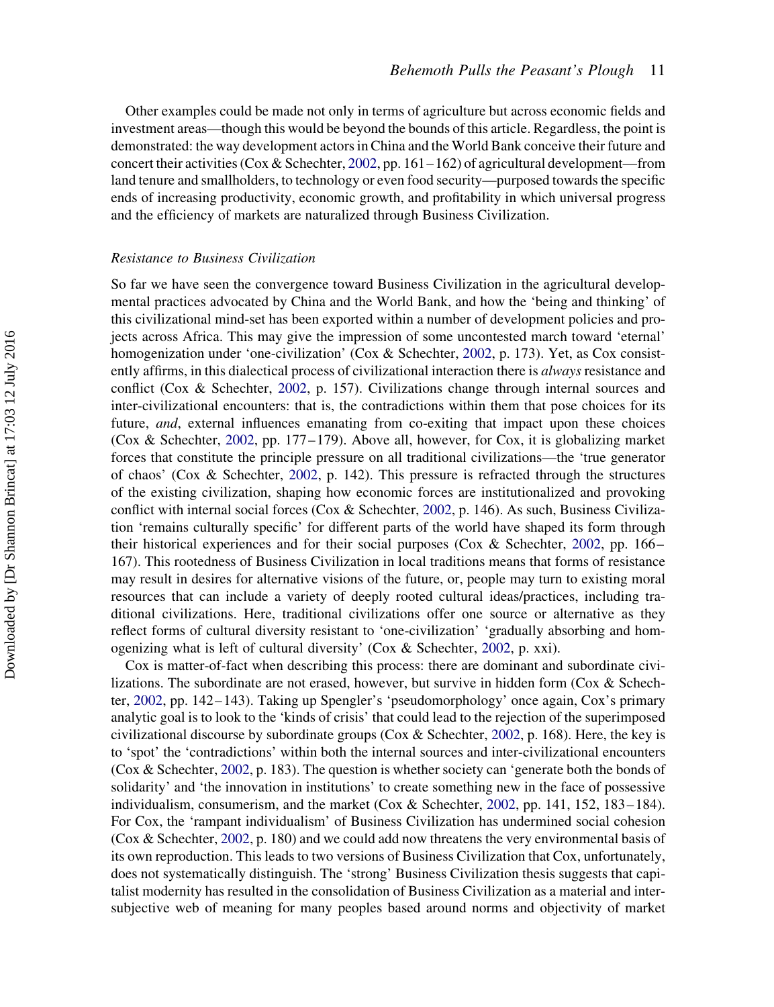Other examples could be made not only in terms of agriculture but across economic fields and investment areas—though this would be beyond the bounds of this article. Regardless, the point is demonstrated: the way development actors in China and the World Bank conceive their future and concert their activities (Cox & Schechter, [2002](#page-15-0), pp.  $161 - 162$ ) of agricultural development—from land tenure and smallholders, to technology or even food security—purposed towards the specific ends of increasing productivity, economic growth, and profitability in which universal progress and the efficiency of markets are naturalized through Business Civilization.

#### Resistance to Business Civilization

So far we have seen the convergence toward Business Civilization in the agricultural developmental practices advocated by China and the World Bank, and how the 'being and thinking' of this civilizational mind-set has been exported within a number of development policies and projects across Africa. This may give the impression of some uncontested march toward 'eternal' homogenization under 'one-civilization' (Cox & Schechter, [2002,](#page-15-0) p. 173). Yet, as Cox consistently affirms, in this dialectical process of civilizational interaction there is *always* resistance and conflict (Cox & Schechter, [2002,](#page-15-0) p. 157). Civilizations change through internal sources and inter-civilizational encounters: that is, the contradictions within them that pose choices for its future, and, external influences emanating from co-exiting that impact upon these choices (Cox & Schechter, [2002](#page-15-0), pp. 177–179). Above all, however, for Cox, it is globalizing market forces that constitute the principle pressure on all traditional civilizations—the 'true generator of chaos' (Cox & Schechter, [2002](#page-15-0), p. 142). This pressure is refracted through the structures of the existing civilization, shaping how economic forces are institutionalized and provoking conflict with internal social forces (Cox & Schechter, [2002,](#page-15-0) p. 146). As such, Business Civilization 'remains culturally specific' for different parts of the world have shaped its form through their historical experiences and for their social purposes (Cox & Schechter, [2002](#page-15-0), pp. 166– 167). This rootedness of Business Civilization in local traditions means that forms of resistance may result in desires for alternative visions of the future, or, people may turn to existing moral resources that can include a variety of deeply rooted cultural ideas/practices, including traditional civilizations. Here, traditional civilizations offer one source or alternative as they reflect forms of cultural diversity resistant to 'one-civilization' 'gradually absorbing and homogenizing what is left of cultural diversity' (Cox & Schechter, [2002,](#page-15-0) p. xxi).

Cox is matter-of-fact when describing this process: there are dominant and subordinate civilizations. The subordinate are not erased, however, but survive in hidden form ( $Cox & Schech$ ter, [2002,](#page-15-0) pp. 142–143). Taking up Spengler's 'pseudomorphology' once again, Cox's primary analytic goal is to look to the 'kinds of crisis' that could lead to the rejection of the superimposed civilizational discourse by subordinate groups (Cox & Schechter, [2002](#page-15-0), p. 168). Here, the key is to 'spot' the 'contradictions' within both the internal sources and inter-civilizational encounters (Cox & Schechter, [2002,](#page-15-0) p. 183). The question is whether society can 'generate both the bonds of solidarity' and 'the innovation in institutions' to create something new in the face of possessive individualism, consumerism, and the market (Cox & Schechter, [2002](#page-15-0), pp. 141, 152, 183–184). For Cox, the 'rampant individualism' of Business Civilization has undermined social cohesion (Cox & Schechter, [2002,](#page-15-0) p. 180) and we could add now threatens the very environmental basis of its own reproduction. This leads to two versions of Business Civilization that Cox, unfortunately, does not systematically distinguish. The 'strong' Business Civilization thesis suggests that capitalist modernity has resulted in the consolidation of Business Civilization as a material and intersubjective web of meaning for many peoples based around norms and objectivity of market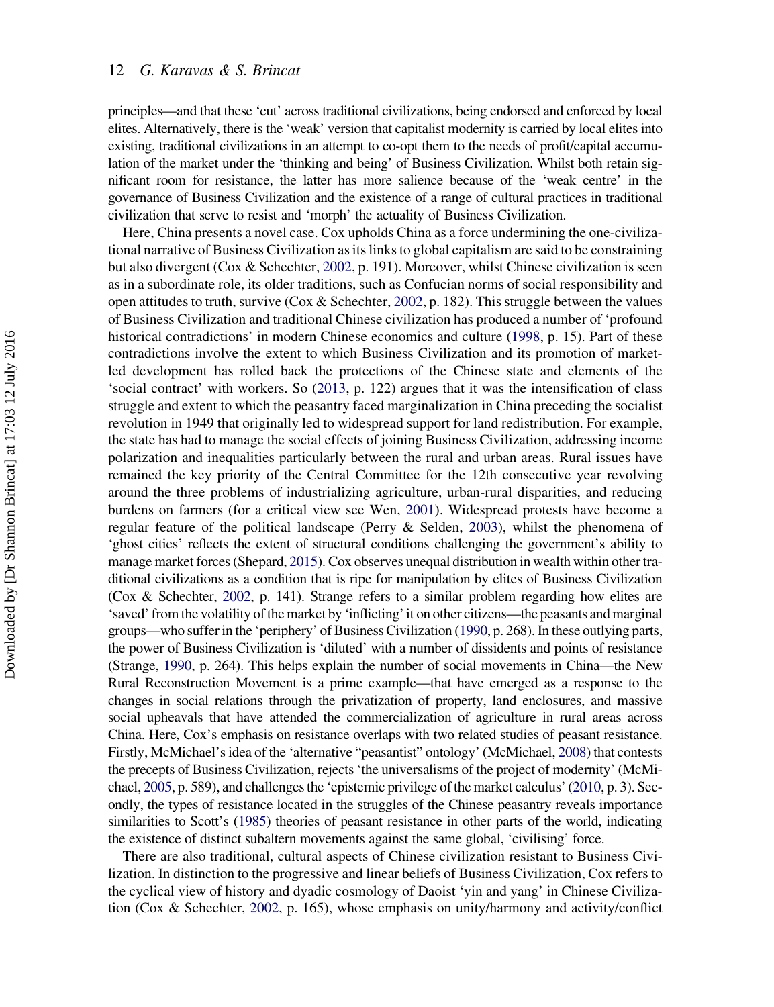<span id="page-12-0"></span>principles—and that these 'cut' across traditional civilizations, being endorsed and enforced by local elites. Alternatively, there is the 'weak' version that capitalist modernity is carried by local elites into existing, traditional civilizations in an attempt to co-opt them to the needs of profit/capital accumulation of the market under the 'thinking and being' of Business Civilization. Whilst both retain significant room for resistance, the latter has more salience because of the 'weak centre' in the governance of Business Civilization and the existence of a range of cultural practices in traditional civilization that serve to resist and 'morph' the actuality of Business Civilization.

Here, China presents a novel case. Cox upholds China as a force undermining the one-civilizational narrative of Business Civilization as its links to global capitalism are said to be constraining but also divergent (Cox & Schechter, [2002,](#page-15-0) p. 191). Moreover, whilst Chinese civilization is seen as in a subordinate role, its older traditions, such as Confucian norms of social responsibility and open attitudes to truth, survive ( $\cos \&$  Schechter, [2002,](#page-15-0) p. 182). This struggle between the values of Business Civilization and traditional Chinese civilization has produced a number of 'profound historical contradictions' in modern Chinese economics and culture [\(1998](#page-16-0), p. 15). Part of these contradictions involve the extent to which Business Civilization and its promotion of marketled development has rolled back the protections of the Chinese state and elements of the 'social contract' with workers. So ([2013,](#page-16-0) p. 122) argues that it was the intensification of class struggle and extent to which the peasantry faced marginalization in China preceding the socialist revolution in 1949 that originally led to widespread support for land redistribution. For example, the state has had to manage the social effects of joining Business Civilization, addressing income polarization and inequalities particularly between the rural and urban areas. Rural issues have remained the key priority of the Central Committee for the 12th consecutive year revolving around the three problems of industrializing agriculture, urban-rural disparities, and reducing burdens on farmers (for a critical view see Wen, [2001](#page-16-0)). Widespread protests have become a regular feature of the political landscape (Perry & Selden, [2003\)](#page-16-0), whilst the phenomena of 'ghost cities' reflects the extent of structural conditions challenging the government's ability to manage market forces (Shepard, [2015\)](#page-16-0). Cox observes unequal distribution in wealth within other traditional civilizations as a condition that is ripe for manipulation by elites of Business Civilization (Cox & Schechter, [2002,](#page-15-0) p. 141). Strange refers to a similar problem regarding how elites are 'saved' from the volatility of the market by 'inflicting' it on other citizens—the peasants and marginal groups—who suffer in the 'periphery' of Business Civilization [\(1990](#page-16-0), p. 268). In these outlying parts, the power of Business Civilization is 'diluted' with a number of dissidents and points of resistance (Strange, [1990,](#page-16-0) p. 264). This helps explain the number of social movements in China—the New Rural Reconstruction Movement is a prime example—that have emerged as a response to the changes in social relations through the privatization of property, land enclosures, and massive social upheavals that have attended the commercialization of agriculture in rural areas across China. Here, Cox's emphasis on resistance overlaps with two related studies of peasant resistance. Firstly, McMichael's idea of the 'alternative "peasantist" ontology' (McMichael, [2008](#page-15-0)) that contests the precepts of Business Civilization, rejects 'the universalisms of the project of modernity' (McMichael, [2005,](#page-15-0) p. 589), and challenges the 'epistemic privilege of the market calculus' ([2010](#page-15-0), p. 3). Secondly, the types of resistance located in the struggles of the Chinese peasantry reveals importance similarities to Scott's [\(1985](#page-16-0)) theories of peasant resistance in other parts of the world, indicating the existence of distinct subaltern movements against the same global, 'civilising' force.

There are also traditional, cultural aspects of Chinese civilization resistant to Business Civilization. In distinction to the progressive and linear beliefs of Business Civilization, Cox refers to the cyclical view of history and dyadic cosmology of Daoist 'yin and yang' in Chinese Civilization (Cox & Schechter, [2002](#page-15-0), p. 165), whose emphasis on unity/harmony and activity/conflict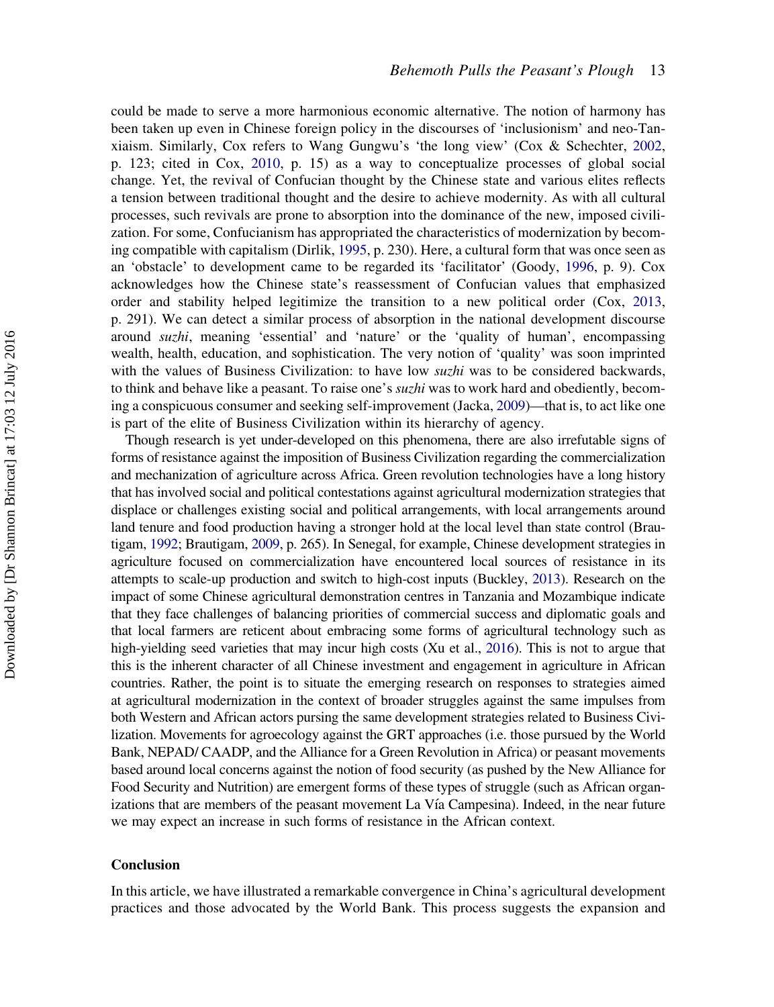<span id="page-13-0"></span>could be made to serve a more harmonious economic alternative. The notion of harmony has been taken up even in Chinese foreign policy in the discourses of 'inclusionism' and neo-Tanxiaism. Similarly, Cox refers to Wang Gungwu's 'the long view' (Cox & Schechter, [2002](#page-15-0), p. 123; cited in Cox, [2010](#page-15-0), p. 15) as a way to conceptualize processes of global social change. Yet, the revival of Confucian thought by the Chinese state and various elites reflects a tension between traditional thought and the desire to achieve modernity. As with all cultural processes, such revivals are prone to absorption into the dominance of the new, imposed civilization. For some, Confucianism has appropriated the characteristics of modernization by becoming compatible with capitalism (Dirlik, [1995](#page-15-0), p. 230). Here, a cultural form that was once seen as an 'obstacle' to development came to be regarded its 'facilitator' (Goody, [1996](#page-15-0), p. 9). Cox acknowledges how the Chinese state's reassessment of Confucian values that emphasized order and stability helped legitimize the transition to a new political order (Cox, [2013](#page-15-0), p. 291). We can detect a similar process of absorption in the national development discourse around suzhi, meaning 'essential' and 'nature' or the 'quality of human', encompassing wealth, health, education, and sophistication. The very notion of 'quality' was soon imprinted with the values of Business Civilization: to have low *suzhi* was to be considered backwards, to think and behave like a peasant. To raise one's *suzhi* was to work hard and obediently, becoming a conspicuous consumer and seeking self-improvement (Jacka, [2009\)](#page-15-0)—that is, to act like one is part of the elite of Business Civilization within its hierarchy of agency.

Though research is yet under-developed on this phenomena, there are also irrefutable signs of forms of resistance against the imposition of Business Civilization regarding the commercialization and mechanization of agriculture across Africa. Green revolution technologies have a long history that has involved social and political contestations against agricultural modernization strategies that displace or challenges existing social and political arrangements, with local arrangements around land tenure and food production having a stronger hold at the local level than state control (Brautigam, [1992](#page-15-0); Brautigam, [2009,](#page-15-0) p. 265). In Senegal, for example, Chinese development strategies in agriculture focused on commercialization have encountered local sources of resistance in its attempts to scale-up production and switch to high-cost inputs (Buckley, [2013](#page-15-0)). Research on the impact of some Chinese agricultural demonstration centres in Tanzania and Mozambique indicate that they face challenges of balancing priorities of commercial success and diplomatic goals and that local farmers are reticent about embracing some forms of agricultural technology such as high-yielding seed varieties that may incur high costs (Xu et al., [2016](#page-16-0)). This is not to argue that this is the inherent character of all Chinese investment and engagement in agriculture in African countries. Rather, the point is to situate the emerging research on responses to strategies aimed at agricultural modernization in the context of broader struggles against the same impulses from both Western and African actors pursing the same development strategies related to Business Civilization. Movements for agroecology against the GRT approaches (i.e. those pursued by the World Bank, NEPAD/ CAADP, and the Alliance for a Green Revolution in Africa) or peasant movements based around local concerns against the notion of food security (as pushed by the New Alliance for Food Security and Nutrition) are emergent forms of these types of struggle (such as African organizations that are members of the peasant movement La Vía Campesina). Indeed, in the near future we may expect an increase in such forms of resistance in the African context.

#### Conclusion

In this article, we have illustrated a remarkable convergence in China's agricultural development practices and those advocated by the World Bank. This process suggests the expansion and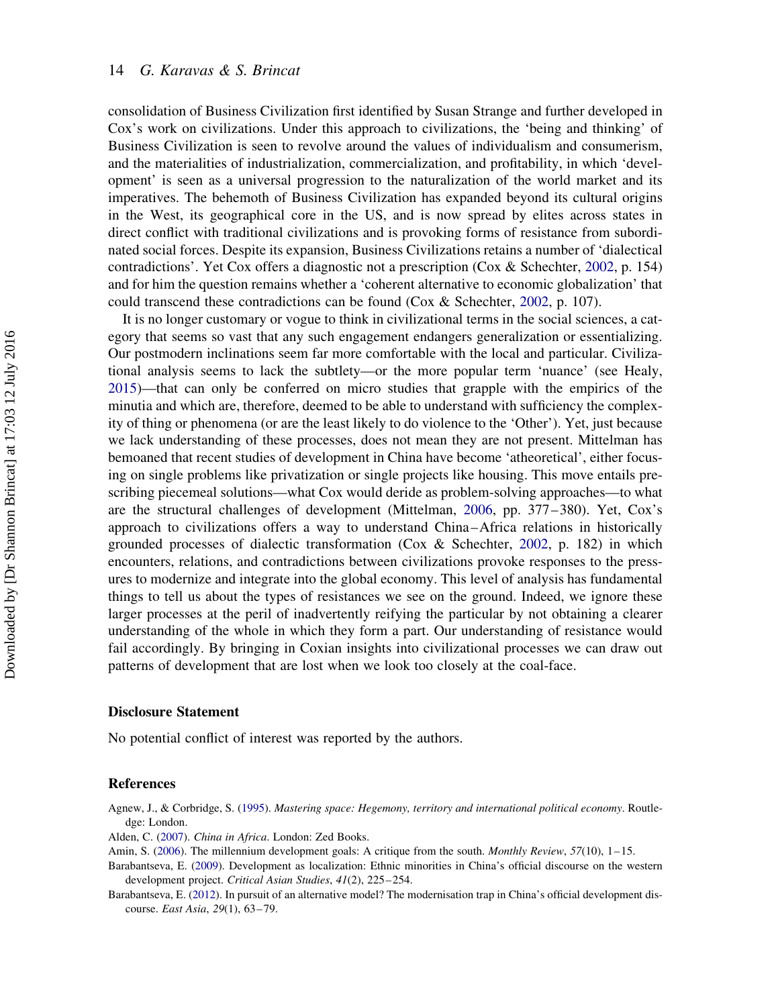<span id="page-14-0"></span>consolidation of Business Civilization first identified by Susan Strange and further developed in Cox's work on civilizations. Under this approach to civilizations, the 'being and thinking' of Business Civilization is seen to revolve around the values of individualism and consumerism, and the materialities of industrialization, commercialization, and profitability, in which 'development' is seen as a universal progression to the naturalization of the world market and its imperatives. The behemoth of Business Civilization has expanded beyond its cultural origins in the West, its geographical core in the US, and is now spread by elites across states in direct conflict with traditional civilizations and is provoking forms of resistance from subordinated social forces. Despite its expansion, Business Civilizations retains a number of 'dialectical contradictions'. Yet Cox offers a diagnostic not a prescription (Cox & Schechter, [2002](#page-15-0), p. 154) and for him the question remains whether a 'coherent alternative to economic globalization' that could transcend these contradictions can be found (Cox & Schechter, [2002](#page-15-0), p. 107).

It is no longer customary or vogue to think in civilizational terms in the social sciences, a category that seems so vast that any such engagement endangers generalization or essentializing. Our postmodern inclinations seem far more comfortable with the local and particular. Civilizational analysis seems to lack the subtlety—or the more popular term 'nuance' (see Healy, [2015\)](#page-15-0)—that can only be conferred on micro studies that grapple with the empirics of the minutia and which are, therefore, deemed to be able to understand with sufficiency the complexity of thing or phenomena (or are the least likely to do violence to the 'Other'). Yet, just because we lack understanding of these processes, does not mean they are not present. Mittelman has bemoaned that recent studies of development in China have become 'atheoretical', either focusing on single problems like privatization or single projects like housing. This move entails prescribing piecemeal solutions—what Cox would deride as problem-solving approaches—to what are the structural challenges of development (Mittelman, [2006](#page-15-0), pp. 377–380). Yet, Cox's approach to civilizations offers a way to understand China–Africa relations in historically grounded processes of dialectic transformation (Cox & Schechter, [2002,](#page-15-0) p. 182) in which encounters, relations, and contradictions between civilizations provoke responses to the pressures to modernize and integrate into the global economy. This level of analysis has fundamental things to tell us about the types of resistances we see on the ground. Indeed, we ignore these larger processes at the peril of inadvertently reifying the particular by not obtaining a clearer understanding of the whole in which they form a part. Our understanding of resistance would fail accordingly. By bringing in Coxian insights into civilizational processes we can draw out patterns of development that are lost when we look too closely at the coal-face.

#### Disclosure Statement

No potential conflict of interest was reported by the authors.

#### References

Agnew, J., & Corbridge, S. [\(1995](#page-4-0)). Mastering space: Hegemony, territory and international political economy. Routledge: London.

Alden, C. [\(2007](#page-2-0)). China in Africa. London: Zed Books.

Amin, S. ([2006\)](#page-10-0). The millennium development goals: A critique from the south. *Monthly Review*, 57(10), 1–15.

Barabantseva, E. [\(2009](#page-8-0)). Development as localization: Ethnic minorities in China's official discourse on the western development project. Critical Asian Studies, 41(2), 225–254.

Barabantseva, E. [\(2012](#page-7-0)). In pursuit of an alternative model? The modernisation trap in China's official development discourse. East Asia, 29(1), 63–79.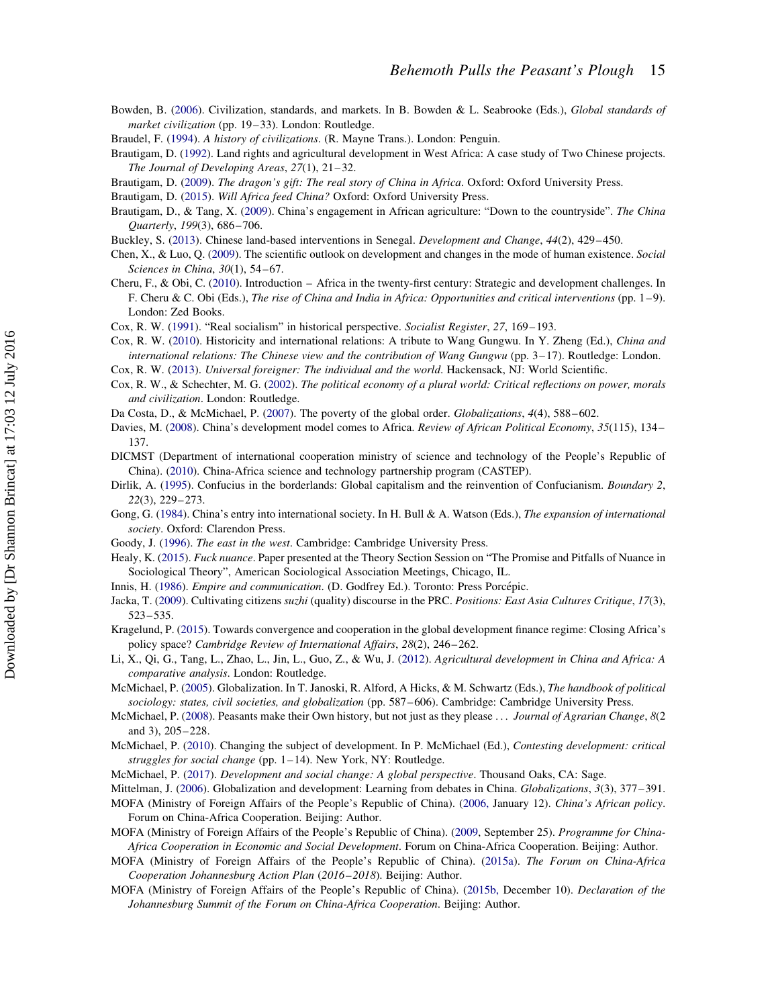- <span id="page-15-0"></span>Bowden, B. [\(2006](#page-6-0)). Civilization, standards, and markets. In B. Bowden & L. Seabrooke (Eds.), Global standards of market civilization (pp. 19–33). London: Routledge.
- Braudel, F. [\(1994](#page-4-0)). A history of civilizations. (R. Mayne Trans.). London: Penguin.
- Brautigam, D. [\(1992](#page-9-0)). Land rights and agricultural development in West Africa: A case study of Two Chinese projects. The Journal of Developing Areas, 27(1), 21–32.
- Brautigam, D. ([2009\)](#page-9-0). The dragon's gift: The real story of China in Africa. Oxford: Oxford University Press.
- Brautigam, D. ([2015\)](#page-2-0). Will Africa feed China? Oxford: Oxford University Press.
- Brautigam, D., & Tang, X. [\(2009](#page-9-0)). China's engagement in African agriculture: "Down to the countryside". The China Quarterly, 199(3), 686–706.
- Buckley, S. [\(2013](#page-13-0)). Chinese land-based interventions in Senegal. Development and Change, 44(2), 429–450.
- Chen, X., & Luo, Q. ([2009\)](#page-8-0). The scientific outlook on development and changes in the mode of human existence. Social Sciences in China, 30(1), 54–67.
- Cheru, F., & Obi, C. [\(2010](#page-2-0)). Introduction Africa in the twenty-first century: Strategic and development challenges. In F. Cheru & C. Obi (Eds.), The rise of China and India in Africa: Opportunities and critical interventions (pp. 1–9). London: Zed Books.
- Cox, R. W. ([1991\)](#page-7-0). "Real socialism" in historical perspective. Socialist Register, 27, 169–193.
- Cox, R. W. [\(2010](#page-13-0)). Historicity and international relations: A tribute to Wang Gungwu. In Y. Zheng (Ed.), China and international relations: The Chinese view and the contribution of Wang Gungwu (pp. 3–17). Routledge: London.
- Cox, R. W. ([2013\)](#page-3-0). Universal foreigner: The individual and the world. Hackensack, NJ: World Scientific.
- Cox, R. W., & Schechter, M. G. ([2002\)](#page-1-0). The political economy of a plural world: Critical reflections on power, morals and civilization. London: Routledge.
- Da Costa, D., & McMichael, P. ([2007\)](#page-6-0). The poverty of the global order. Globalizations, 4(4), 588–602.
- Davies, M. [\(2008](#page-9-0)). China's development model comes to Africa. Review of African Political Economy, 35(115), 134– 137.
- DICMST (Department of international cooperation ministry of science and technology of the People's Republic of China). ([2010\)](#page-9-0). China-Africa science and technology partnership program (CASTEP).
- Dirlik, A. ([1995\)](#page-13-0). Confucius in the borderlands: Global capitalism and the reinvention of Confucianism. Boundary 2, 22(3), 229–273.
- Gong, G. ([1984\)](#page-6-0). China's entry into international society. In H. Bull & A. Watson (Eds.), The expansion of international society. Oxford: Clarendon Press.
- Goody, J. [\(1996](#page-13-0)). The east in the west. Cambridge: Cambridge University Press.
- Healy, K. ([2015\)](#page-14-0). Fuck nuance. Paper presented at the Theory Section Session on "The Promise and Pitfalls of Nuance in Sociological Theory", American Sociological Association Meetings, Chicago, IL.
- Innis, H. [\(1986\)](#page-3-0). *Empire and communication*. (D. Godfrey Ed.). Toronto: Press Porcépic.
- Jacka, T. ([2009\)](#page-13-0). Cultivating citizens suzhi (quality) discourse in the PRC. Positions: East Asia Cultures Critique, 17(3), 523–535.
- Kragelund, P. [\(2015](#page-2-0)). Towards convergence and cooperation in the global development finance regime: Closing Africa's policy space? Cambridge Review of International Affairs, 28(2), 246–262.
- Li, X., Qi, G., Tang, L., Zhao, L., Jin, L., Guo, Z., & Wu, J. [\(2012](#page-2-0)). Agricultural development in China and Africa: A comparative analysis. London: Routledge.
- McMichael, P. [\(2005](#page-12-0)). Globalization. In T. Janoski, R. Alford, A Hicks, & M. Schwartz (Eds.), The handbook of political sociology: states, civil societies, and globalization (pp. 587–606). Cambridge: Cambridge University Press.
- McMichael, P. ([2008](#page-12-0)). Peasants make their Own history, but not just as they please ... Journal of Agrarian Change, 8(2) and 3), 205–228.
- McMichael, P. [\(2010](#page-12-0)). Changing the subject of development. In P. McMichael (Ed.), Contesting development: critical struggles for social change (pp. 1–14). New York, NY: Routledge.
- McMichael, P. ([2017\)](#page-6-0). Development and social change: A global perspective. Thousand Oaks, CA: Sage.
- Mittelman, J. ([2006\)](#page-14-0). Globalization and development: Learning from debates in China. Globalizations, 3(3), 377–391.
- MOFA (Ministry of Foreign Affairs of the People's Republic of China). ([2006,](#page-8-0) January 12). China's African policy. Forum on China-Africa Cooperation. Beijing: Author.
- MOFA (Ministry of Foreign Affairs of the People's Republic of China). [\(2009](#page-9-0), September 25). Programme for China-Africa Cooperation in Economic and Social Development. Forum on China-Africa Cooperation. Beijing: Author.
- MOFA (Ministry of Foreign Affairs of the People's Republic of China). [\(2015a\)](#page-9-0). The Forum on China-Africa Cooperation Johannesburg Action Plan (2016–2018). Beijing: Author.
- MOFA (Ministry of Foreign Affairs of the People's Republic of China). [\(2015b,](#page-10-0) December 10). Declaration of the Johannesburg Summit of the Forum on China-Africa Cooperation. Beijing: Author.